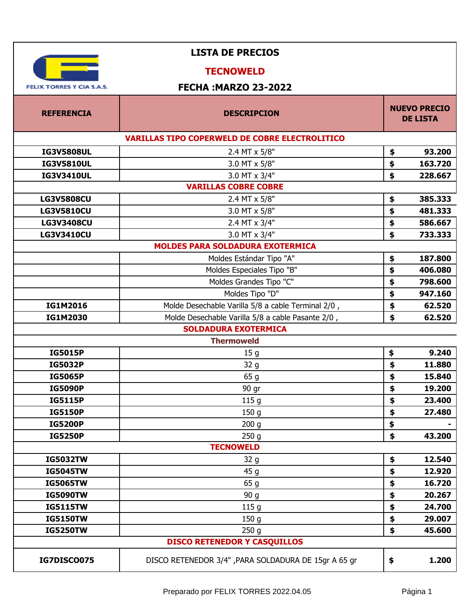| <b>LISTA DE PRECIOS</b>             |                                                       |    |                                        |
|-------------------------------------|-------------------------------------------------------|----|----------------------------------------|
|                                     | <b>TECNOWELD</b>                                      |    |                                        |
| <b>FELIX TORRES Y CIA S.A.S.</b>    | <b>FECHA: MARZO 23-2022</b>                           |    |                                        |
| <b>REFERENCIA</b>                   | <b>DESCRIPCION</b>                                    |    | <b>NUEVO PRECIO</b><br><b>DE LISTA</b> |
|                                     | <b>VARILLAS TIPO COPERWELD DE COBRE ELECTROLITICO</b> |    |                                        |
| <b>IG3V5808UL</b>                   | 2.4 MT x 5/8"                                         | \$ | 93.200                                 |
| <b>IG3V5810UL</b>                   | 3.0 MT x 5/8"                                         | \$ | 163.720                                |
| <b>IG3V3410UL</b>                   | 3.0 MT x 3/4"                                         | \$ | 228.667                                |
|                                     | <b>VARILLAS COBRE COBRE</b>                           |    |                                        |
| <b>LG3V5808CU</b>                   | 2.4 MT x 5/8"                                         | \$ | 385.333                                |
| <b>LG3V5810CU</b>                   | 3.0 MT x 5/8"                                         | \$ | 481.333                                |
| <b>LG3V3408CU</b>                   | 2.4 MT x 3/4"                                         | \$ | 586.667                                |
| <b>LG3V3410CU</b>                   | 3.0 MT x 3/4"                                         | \$ | 733.333                                |
|                                     | <b>MOLDES PARA SOLDADURA EXOTERMICA</b>               |    |                                        |
|                                     | Moldes Estándar Tipo "A"                              | \$ | 187.800                                |
|                                     | Moldes Especiales Tipo "B"                            | \$ | 406.080                                |
|                                     | Moldes Grandes Tipo "C"                               | \$ | 798.600                                |
|                                     | Moldes Tipo "D"                                       | \$ | 947.160                                |
| IG1M2016                            | Molde Desechable Varilla 5/8 a cable Terminal 2/0,    | \$ | 62.520                                 |
| IG1M2030                            | Molde Desechable Varilla 5/8 a cable Pasante 2/0,     | \$ | 62.520                                 |
| <b>SOLDADURA EXOTERMICA</b>         |                                                       |    |                                        |
|                                     | <b>Thermoweld</b>                                     |    |                                        |
| <b>IG5015P</b>                      | 15 <sub>g</sub>                                       | \$ | 9.240                                  |
| <b>IG5032P</b>                      | 32 g                                                  | \$ | 11.880                                 |
| <b>IG5065P</b>                      | 65 g                                                  | \$ | 15.840                                 |
| <b>IG5090P</b>                      | 90 gr                                                 | \$ | 19.200                                 |
| <b>IG5115P</b>                      | 115 <sub>g</sub>                                      | \$ | 23.400                                 |
| <b>IG5150P</b>                      | 150 <sub>g</sub>                                      | \$ | 27.480                                 |
| <b>IG5200P</b>                      | 200 <sub>g</sub>                                      | \$ |                                        |
| <b>IG5250P</b>                      | 250 <sub>g</sub>                                      | \$ | 43.200                                 |
|                                     | <b>TECNOWELD</b>                                      |    |                                        |
| <b>IG5032TW</b>                     | 32 g                                                  | \$ | 12.540                                 |
| <b>IG5045TW</b>                     | 45 g                                                  | \$ | 12.920                                 |
| <b>IG5065TW</b>                     | 65 g                                                  | \$ | 16.720                                 |
| <b>IG5090TW</b>                     | 90 g                                                  | \$ | 20.267                                 |
| <b>IG5115TW</b>                     | 115 <sub>g</sub>                                      | \$ | 24.700                                 |
| <b>IG5150TW</b>                     | 150 <sub>g</sub>                                      | \$ | 29.007                                 |
| <b>IG5250TW</b>                     | 250 <sub>g</sub>                                      | \$ | 45.600                                 |
| <b>DISCO RETENEDOR Y CASQUILLOS</b> |                                                       |    |                                        |
| <b>IG7DISCO075</b>                  | DISCO RETENEDOR 3/4", PARA SOLDADURA DE 15gr A 65 gr  | \$ | 1.200                                  |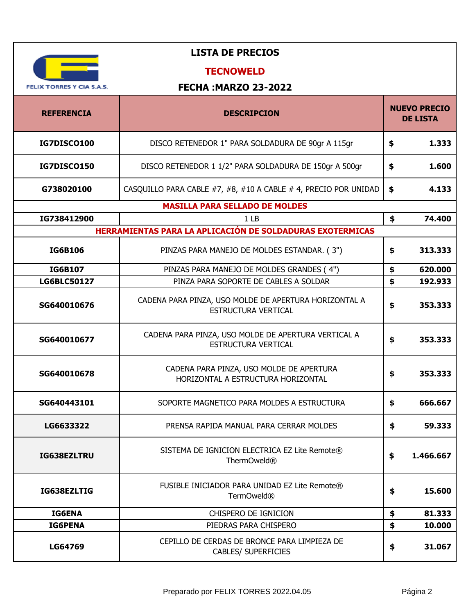| <b>FELIX TORRES Y CIA S.A.S.</b> |
|----------------------------------|

## **TECNOWELD**

| <b>REFERENCIA</b>  | <b>DESCRIPCION</b>                                                                  |               | <b>NUEVO PRECIO</b><br><b>DE LISTA</b> |
|--------------------|-------------------------------------------------------------------------------------|---------------|----------------------------------------|
| IG7DISCO100        | DISCO RETENEDOR 1" PARA SOLDADURA DE 90gr A 115gr                                   | \$            | 1.333                                  |
| IG7DISCO150        | DISCO RETENEDOR 1 1/2" PARA SOLDADURA DE 150gr A 500gr                              | \$            | 1.600                                  |
| G738020100         | CASQUILLO PARA CABLE #7, #8, #10 A CABLE # 4, PRECIO POR UNIDAD                     | $\frac{1}{2}$ | 4.133                                  |
|                    | <b>MASILLA PARA SELLADO DE MOLDES</b>                                               |               |                                        |
| IG738412900        | 1 <sub>LB</sub>                                                                     | \$            | 74.400                                 |
|                    | HERRAMIENTAS PARA LA APLICACIÓN DE SOLDADURAS EXOTERMICAS                           |               |                                        |
| <b>IG6B106</b>     | PINZAS PARA MANEJO DE MOLDES ESTANDAR. (3")                                         | \$            | 313.333                                |
| <b>IG6B107</b>     | PINZAS PARA MANEJO DE MOLDES GRANDES (4")                                           | \$            | 620.000                                |
| <b>LG6BLC50127</b> | PINZA PARA SOPORTE DE CABLES A SOLDAR                                               | \$            | 192.933                                |
| SG640010676        | CADENA PARA PINZA, USO MOLDE DE APERTURA HORIZONTAL A<br><b>ESTRUCTURA VERTICAL</b> | \$            | 353.333                                |
| SG640010677        | CADENA PARA PINZA, USO MOLDE DE APERTURA VERTICAL A<br>ESTRUCTURA VERTICAL          | \$            | 353.333                                |
| SG640010678        | CADENA PARA PINZA, USO MOLDE DE APERTURA<br>HORIZONTAL A ESTRUCTURA HORIZONTAL      | \$            | 353.333                                |
| SG640443101        | SOPORTE MAGNETICO PARA MOLDES A ESTRUCTURA                                          | \$            | 666.667                                |
| LG6633322          | PRENSA RAPIDA MANUAL PARA CERRAR MOLDES                                             | \$            | 59.333                                 |
| IG638EZLTRU        | SISTEMA DE IGNICION ELECTRICA EZ Lite Remote®<br>ThermOweld <sup>®</sup>            | \$            | 1.466.667                              |
| IG638EZLTIG        | FUSIBLE INICIADOR PARA UNIDAD EZ Lite Remote®<br>TermOweld <sup>®</sup>             | \$            | 15.600                                 |
| <b>IG6ENA</b>      | CHISPERO DE IGNICION                                                                | \$            | 81.333                                 |
| <b>IG6PENA</b>     | PIEDRAS PARA CHISPERO                                                               | \$            | 10.000                                 |
| LG64769            | CEPILLO DE CERDAS DE BRONCE PARA LIMPIEZA DE<br><b>CABLES/ SUPERFICIES</b>          | \$            | 31.067                                 |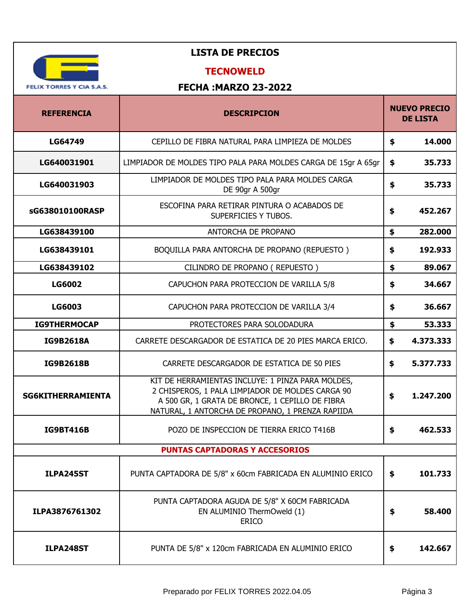

## **TECNOWELD**

| <b>REFERENCIA</b>        | <b>DESCRIPCION</b>                                                                                                                                                                                           | <b>NUEVO PRECIO</b><br><b>DE LISTA</b> |
|--------------------------|--------------------------------------------------------------------------------------------------------------------------------------------------------------------------------------------------------------|----------------------------------------|
| LG64749                  | CEPILLO DE FIBRA NATURAL PARA LIMPIEZA DE MOLDES                                                                                                                                                             | \$<br>14.000                           |
| LG640031901              | LIMPIADOR DE MOLDES TIPO PALA PARA MOLDES CARGA DE 15gr A 65gr                                                                                                                                               | \$<br>35.733                           |
| LG640031903              | LIMPIADOR DE MOLDES TIPO PALA PARA MOLDES CARGA<br>DE 90gr A 500gr                                                                                                                                           | \$<br>35.733                           |
| sG638010100RASP          | ESCOFINA PARA RETIRAR PINTURA O ACABADOS DE<br>SUPERFICIES Y TUBOS.                                                                                                                                          | \$<br>452.267                          |
| LG638439100              | ANTORCHA DE PROPANO                                                                                                                                                                                          | \$<br>282.000                          |
| LG638439101              | BOQUILLA PARA ANTORCHA DE PROPANO (REPUESTO)                                                                                                                                                                 | \$<br>192.933                          |
| LG638439102              | CILINDRO DE PROPANO (REPUESTO)                                                                                                                                                                               | \$<br>89.067                           |
| <b>LG6002</b>            | CAPUCHON PARA PROTECCION DE VARILLA 5/8                                                                                                                                                                      | \$<br>34.667                           |
| <b>LG6003</b>            | CAPUCHON PARA PROTECCION DE VARILLA 3/4                                                                                                                                                                      | \$<br>36.667                           |
| <b>IG9THERMOCAP</b>      | PROTECTORES PARA SOLODADURA                                                                                                                                                                                  | \$<br>53.333                           |
| <b>IG9B2618A</b>         | CARRETE DESCARGADOR DE ESTATICA DE 20 PIES MARCA ERICO.                                                                                                                                                      | \$<br>4.373.333                        |
| <b>IG9B2618B</b>         | CARRETE DESCARGADOR DE ESTATICA DE 50 PIES                                                                                                                                                                   | \$<br>5.377.733                        |
| <b>SG6KITHERRAMIENTA</b> | KIT DE HERRAMIENTAS INCLUYE: 1 PINZA PARA MOLDES,<br>2 CHISPEROS, 1 PALA LIMPIADOR DE MOLDES CARGA 90<br>A 500 GR, 1 GRATA DE BRONCE, 1 CEPILLO DE FIBRA<br>NATURAL, 1 ANTORCHA DE PROPANO, 1 PRENZA RAPIIDA | \$<br>1.247.200                        |
| <b>IG9BT416B</b>         | POZO DE INSPECCION DE TIERRA ERICO T416B                                                                                                                                                                     | \$<br>462.533                          |
|                          | <b>PUNTAS CAPTADORAS Y ACCESORIOS</b>                                                                                                                                                                        |                                        |
| ILPA245ST                | PUNTA CAPTADORA DE 5/8" x 60cm FABRICADA EN ALUMINIO ERICO                                                                                                                                                   | \$<br>101.733                          |
| ILPA3876761302           | PUNTA CAPTADORA AGUDA DE 5/8" X 60CM FABRICADA<br>EN ALUMINIO ThermOweld (1)<br><b>ERICO</b>                                                                                                                 | \$<br>58.400                           |
| ILPA248ST                | PUNTA DE 5/8" x 120cm FABRICADA EN ALUMINIO ERICO                                                                                                                                                            | \$<br>142.667                          |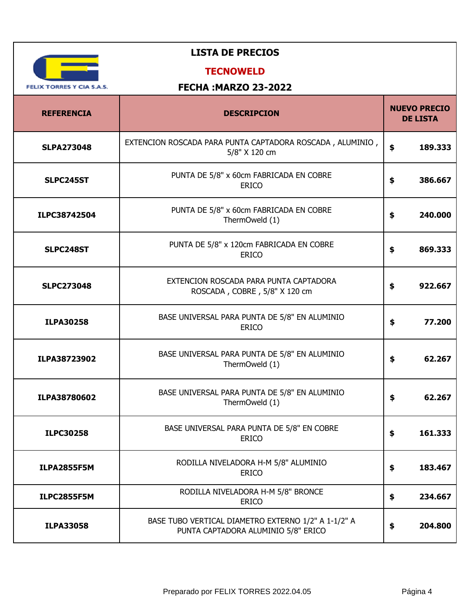| <b>LISTA DE PRECIOS</b>          |                                                                                            |                                        |
|----------------------------------|--------------------------------------------------------------------------------------------|----------------------------------------|
| <b>FELIX TORRES Y CIA S.A.S.</b> | <b>TECNOWELD</b><br><b>FECHA: MARZO 23-2022</b>                                            |                                        |
| <b>REFERENCIA</b>                | <b>DESCRIPCION</b>                                                                         | <b>NUEVO PRECIO</b><br><b>DE LISTA</b> |
| <b>SLPA273048</b>                | EXTENCION ROSCADA PARA PUNTA CAPTADORA ROSCADA, ALUMINIO,<br>5/8" X 120 cm                 | \$<br>189.333                          |
| SLPC245ST                        | PUNTA DE 5/8" x 60cm FABRICADA EN COBRE<br><b>ERICO</b>                                    | \$<br>386.667                          |
| ILPC38742504                     | PUNTA DE 5/8" x 60cm FABRICADA EN COBRE<br>ThermOweld (1)                                  | \$<br>240.000                          |
| SLPC248ST                        | PUNTA DE 5/8" x 120cm FABRICADA EN COBRE<br><b>ERICO</b>                                   | \$<br>869.333                          |
| <b>SLPC273048</b>                | EXTENCION ROSCADA PARA PUNTA CAPTADORA<br>ROSCADA, COBRE, 5/8" X 120 cm                    | \$<br>922.667                          |
| <b>ILPA30258</b>                 | BASE UNIVERSAL PARA PUNTA DE 5/8" EN ALUMINIO<br><b>ERICO</b>                              | \$<br>77.200                           |
| ILPA38723902                     | BASE UNIVERSAL PARA PUNTA DE 5/8" EN ALUMINIO<br>ThermOweld (1)                            | \$<br>62.267                           |
| ILPA38780602                     | BASE UNIVERSAL PARA PUNTA DE 5/8" EN ALUMINIO<br>ThermOweld (1)                            | \$<br>62.267                           |
| <b>ILPC30258</b>                 | BASE UNIVERSAL PARA PUNTA DE 5/8" EN COBRE<br><b>ERICO</b>                                 | \$<br>161.333                          |
| <b>ILPA2855F5M</b>               | RODILLA NIVELADORA H-M 5/8" ALUMINIO<br><b>ERICO</b>                                       | \$<br>183.467                          |
| <b>ILPC2855F5M</b>               | RODILLA NIVELADORA H-M 5/8" BRONCE<br><b>ERICO</b>                                         | \$<br>234.667                          |
| <b>ILPA33058</b>                 | BASE TUBO VERTICAL DIAMETRO EXTERNO 1/2" A 1-1/2" A<br>PUNTA CAPTADORA ALUMINIO 5/8" ERICO | \$<br>204.800                          |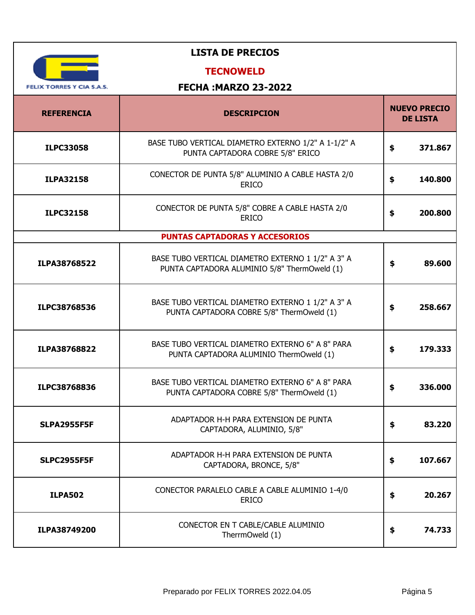| <b>LISTA DE PRECIOS</b>          |                                                                                                   |                                        |
|----------------------------------|---------------------------------------------------------------------------------------------------|----------------------------------------|
|                                  | <b>TECNOWELD</b>                                                                                  |                                        |
| <b>FELIX TORRES Y CIA S.A.S.</b> | <b>FECHA: MARZO 23-2022</b>                                                                       |                                        |
| <b>REFERENCIA</b>                | <b>DESCRIPCION</b>                                                                                | <b>NUEVO PRECIO</b><br><b>DE LISTA</b> |
| <b>ILPC33058</b>                 | BASE TUBO VERTICAL DIAMETRO EXTERNO 1/2" A 1-1/2" A<br>PUNTA CAPTADORA COBRE 5/8" ERICO           | \$<br>371.867                          |
| <b>ILPA32158</b>                 | CONECTOR DE PUNTA 5/8" ALUMINIO A CABLE HASTA 2/0<br><b>ERICO</b>                                 | \$<br>140.800                          |
| <b>ILPC32158</b>                 | CONECTOR DE PUNTA 5/8" COBRE A CABLE HASTA 2/0<br><b>ERICO</b>                                    | \$<br>200.800                          |
|                                  | <b>PUNTAS CAPTADORAS Y ACCESORIOS</b>                                                             |                                        |
| ILPA38768522                     | BASE TUBO VERTICAL DIAMETRO EXTERNO 1 1/2" A 3" A<br>PUNTA CAPTADORA ALUMINIO 5/8" ThermOweld (1) | \$<br>89.600                           |
| ILPC38768536                     | BASE TUBO VERTICAL DIAMETRO EXTERNO 1 1/2" A 3" A<br>PUNTA CAPTADORA COBRE 5/8" ThermOweld (1)    | \$<br>258.667                          |
| ILPA38768822                     | BASE TUBO VERTICAL DIAMETRO EXTERNO 6" A 8" PARA<br>PUNTA CAPTADORA ALUMINIO ThermOweld (1)       | \$<br>179.333                          |
| ILPC38768836                     | BASE TUBO VERTICAL DIAMETRO EXTERNO 6" A 8" PARA<br>PUNTA CAPTADORA COBRE 5/8" ThermOweld (1)     | 336.000<br>ъ                           |
| <b>SLPA2955F5F</b>               | ADAPTADOR H-H PARA EXTENSION DE PUNTA<br>CAPTADORA, ALUMINIO, 5/8"                                | 83.220<br>\$                           |
| <b>SLPC2955F5F</b>               | ADAPTADOR H-H PARA EXTENSION DE PUNTA<br>CAPTADORA, BRONCE, 5/8"                                  | \$<br>107.667                          |
| <b>ILPA502</b>                   | CONECTOR PARALELO CABLE A CABLE ALUMINIO 1-4/0<br><b>ERICO</b>                                    | \$<br>20.267                           |
| ILPA38749200                     | CONECTOR EN T CABLE/CABLE ALUMINIO<br>TherrmOweld (1)                                             | \$<br>74.733                           |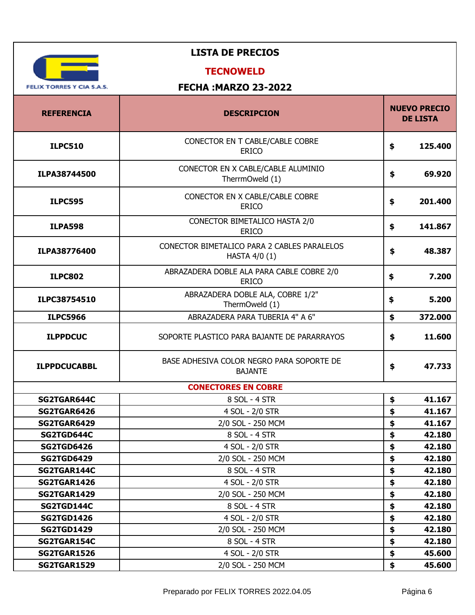| <b>LISTA DE PRECIOS</b>                                         |                                                              |                                        |  |  |
|-----------------------------------------------------------------|--------------------------------------------------------------|----------------------------------------|--|--|
| <b>TECNOWELD</b>                                                |                                                              |                                        |  |  |
| <b>FECHA: MARZO 23-2022</b><br><b>FELIX TORRES Y CIA S.A.S.</b> |                                                              |                                        |  |  |
|                                                                 |                                                              |                                        |  |  |
| <b>REFERENCIA</b>                                               | <b>DESCRIPCION</b>                                           | <b>NUEVO PRECIO</b><br><b>DE LISTA</b> |  |  |
| <b>ILPC510</b>                                                  | CONECTOR EN T CABLE/CABLE COBRE<br><b>ERICO</b>              | \$<br>125.400                          |  |  |
| ILPA38744500                                                    | CONECTOR EN X CABLE/CABLE ALUMINIO<br>TherrmOweld (1)        | \$<br>69.920                           |  |  |
| <b>ILPC595</b>                                                  | CONECTOR EN X CABLE/CABLE COBRE<br><b>ERICO</b>              | \$<br>201.400                          |  |  |
| <b>ILPA598</b>                                                  | CONECTOR BIMETALICO HASTA 2/0<br><b>ERICO</b>                | \$<br>141.867                          |  |  |
| ILPA38776400                                                    | CONECTOR BIMETALICO PARA 2 CABLES PARALELOS<br>HASTA 4/0 (1) | \$<br>48.387                           |  |  |
| <b>ILPC802</b>                                                  | ABRAZADERA DOBLE ALA PARA CABLE COBRE 2/0<br><b>ERICO</b>    | \$<br>7.200                            |  |  |
| ILPC38754510                                                    | ABRAZADERA DOBLE ALA, COBRE 1/2"<br>ThermOweld (1)           | 5.200<br>\$                            |  |  |
| <b>ILPC5966</b>                                                 | ABRAZADERA PARA TUBERIA 4" A 6"                              | \$<br>372.000                          |  |  |
| <b>ILPPDCUC</b>                                                 | SOPORTE PLASTICO PARA BAJANTE DE PARARRAYOS                  | \$<br>11.600                           |  |  |
| <b>ILPPDCUCABBL</b>                                             | BASE ADHESIVA COLOR NEGRO PARA SOPORTE DE<br><b>BAJANTE</b>  | \$<br>47.733                           |  |  |
|                                                                 | <b>CONECTORES EN COBRE</b>                                   |                                        |  |  |
| SG2TGAR644C                                                     | 8 SOL - 4 STR                                                | 41.167<br>\$                           |  |  |
| <b>SG2TGAR6426</b>                                              | 4 SOL - 2/0 STR                                              | \$<br>41.167                           |  |  |
| SG2TGAR6429                                                     | 2/0 SOL - 250 MCM                                            | \$<br>41.167                           |  |  |
| SG2TGD644C                                                      | 8 SOL - 4 STR                                                | \$<br>42.180                           |  |  |
| <b>SG2TGD6426</b>                                               | 4 SOL - 2/0 STR                                              | 42.180<br>\$                           |  |  |
| <b>SG2TGD6429</b>                                               | 2/0 SOL - 250 MCM                                            | \$<br>42.180                           |  |  |
| SG2TGAR144C                                                     | 8 SOL - 4 STR                                                | \$<br>42.180                           |  |  |
| <b>SG2TGAR1426</b>                                              | 4 SOL - 2/0 STR                                              | \$<br>42.180                           |  |  |
| <b>SG2TGAR1429</b>                                              | 2/0 SOL - 250 MCM                                            | 42.180<br>\$                           |  |  |
| SG2TGD144C                                                      | 8 SOL - 4 STR                                                | \$<br>42.180                           |  |  |
| <b>SG2TGD1426</b>                                               | 4 SOL - 2/0 STR                                              | \$<br>42.180                           |  |  |
| <b>SG2TGD1429</b>                                               | 2/0 SOL - 250 MCM                                            | \$<br>42.180                           |  |  |
| SG2TGAR154C                                                     | 8 SOL - 4 STR                                                | \$<br>42.180                           |  |  |
| <b>SG2TGAR1526</b>                                              | 4 SOL - 2/0 STR                                              | \$<br>45.600                           |  |  |
| <b>SG2TGAR1529</b>                                              | 2/0 SOL - 250 MCM                                            | \$<br>45.600                           |  |  |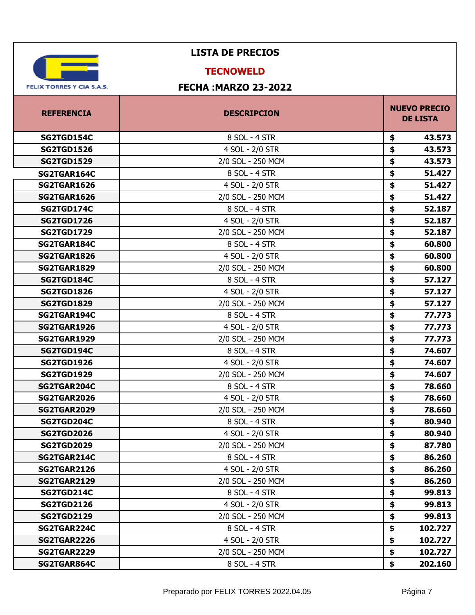

### **TECNOWELD**

| <b>REFERENCIA</b>  | <b>DESCRIPCION</b> | <b>NUEVO PRECIO</b><br><b>DE LISTA</b> |  |
|--------------------|--------------------|----------------------------------------|--|
| SG2TGD154C         | 8 SOL - 4 STR      | 43.573<br>\$                           |  |
| <b>SG2TGD1526</b>  | 4 SOL - 2/0 STR    | 43.573<br>\$                           |  |
| <b>SG2TGD1529</b>  | 2/0 SOL - 250 MCM  | 43.573<br>\$                           |  |
| SG2TGAR164C        | 8 SOL - 4 STR      | \$<br>51.427                           |  |
| SG2TGAR1626        | 4 SOL - 2/0 STR    | \$<br>51.427                           |  |
| <b>SG2TGAR1626</b> | 2/0 SOL - 250 MCM  | \$<br>51.427                           |  |
| SG2TGD174C         | 8 SOL - 4 STR      | \$<br>52.187                           |  |
| <b>SG2TGD1726</b>  | 4 SOL - 2/0 STR    | \$<br>52.187                           |  |
| <b>SG2TGD1729</b>  | 2/0 SOL - 250 MCM  | \$<br>52.187                           |  |
| SG2TGAR184C        | 8 SOL - 4 STR      | \$<br>60.800                           |  |
| <b>SG2TGAR1826</b> | 4 SOL - 2/0 STR    | \$<br>60.800                           |  |
| <b>SG2TGAR1829</b> | 2/0 SOL - 250 MCM  | \$<br>60.800                           |  |
| SG2TGD184C         | 8 SOL - 4 STR      | \$<br>57.127                           |  |
| <b>SG2TGD1826</b>  | 4 SOL - 2/0 STR    | \$<br>57.127                           |  |
| <b>SG2TGD1829</b>  | 2/0 SOL - 250 MCM  | \$<br>57.127                           |  |
| SG2TGAR194C        | 8 SOL - 4 STR      | \$<br>77.773                           |  |
| <b>SG2TGAR1926</b> | 4 SOL - 2/0 STR    | \$<br>77.773                           |  |
| <b>SG2TGAR1929</b> | 2/0 SOL - 250 MCM  | \$<br>77.773                           |  |
| SG2TGD194C         | 8 SOL - 4 STR      | 74.607<br>\$                           |  |
| <b>SG2TGD1926</b>  | 4 SOL - 2/0 STR    | \$<br>74.607                           |  |
| <b>SG2TGD1929</b>  | 2/0 SOL - 250 MCM  | \$<br>74.607                           |  |
| SG2TGAR204C        | 8 SOL - 4 STR      | \$<br>78.660                           |  |
| <b>SG2TGAR2026</b> | 4 SOL - 2/0 STR    | \$<br>78.660                           |  |
| <b>SG2TGAR2029</b> | 2/0 SOL - 250 MCM  | \$<br>78.660                           |  |
| SG2TGD204C         | 8 SOL - 4 STR      | \$<br>80.940                           |  |
| <b>SG2TGD2026</b>  | 4 SOL - 2/0 STR    | \$<br>80.940                           |  |
| <b>SG2TGD2029</b>  | 2/0 SOL - 250 MCM  | \$<br>87.780                           |  |
| SG2TGAR214C        | 8 SOL - 4 STR      | \$<br>86.260                           |  |
| <b>SG2TGAR2126</b> | 4 SOL - 2/0 STR    | \$<br>86.260                           |  |
| <b>SG2TGAR2129</b> | 2/0 SOL - 250 MCM  | \$<br>86.260                           |  |
| SG2TGD214C         | 8 SOL - 4 STR      | \$<br>99.813                           |  |
| <b>SG2TGD2126</b>  | 4 SOL - 2/0 STR    | \$<br>99.813                           |  |
| <b>SG2TGD2129</b>  | 2/0 SOL - 250 MCM  | \$<br>99.813                           |  |
| SG2TGAR224C        | 8 SOL - 4 STR      | \$<br>102.727                          |  |
| <b>SG2TGAR2226</b> | 4 SOL - 2/0 STR    | \$<br>102.727                          |  |
| <b>SG2TGAR2229</b> | 2/0 SOL - 250 MCM  | \$<br>102.727                          |  |
| SG2TGAR864C        | 8 SOL - 4 STR      | \$<br>202.160                          |  |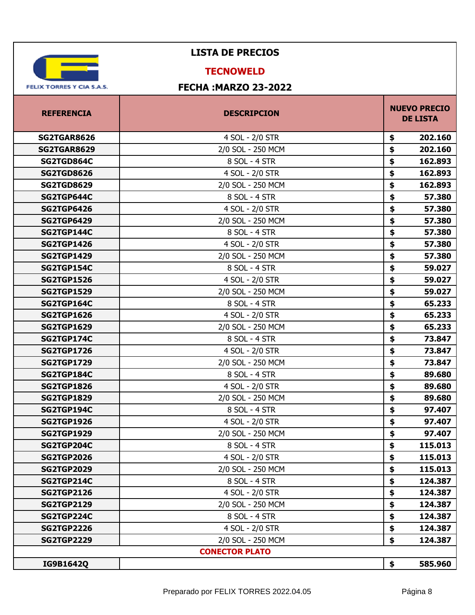

#### **TECNOWELD**

| <b>REFERENCIA</b>  | <b>DESCRIPCION</b>    | <b>NUEVO PRECIO</b><br><b>DE LISTA</b> |  |
|--------------------|-----------------------|----------------------------------------|--|
| <b>SG2TGAR8626</b> | 4 SOL - 2/0 STR       | 202.160<br>\$                          |  |
| <b>SG2TGAR8629</b> | 2/0 SOL - 250 MCM     | \$<br>202.160                          |  |
| SG2TGD864C         | 8 SOL - 4 STR         | \$<br>162.893                          |  |
| <b>SG2TGD8626</b>  | 4 SOL - 2/0 STR       | \$<br>162.893                          |  |
| <b>SG2TGD8629</b>  | 2/0 SOL - 250 MCM     | \$<br>162.893                          |  |
| SG2TGP644C         | 8 SOL - 4 STR         | \$<br>57.380                           |  |
| <b>SG2TGP6426</b>  | 4 SOL - 2/0 STR       | \$<br>57.380                           |  |
| <b>SG2TGP6429</b>  | 2/0 SOL - 250 MCM     | \$<br>57.380                           |  |
| SG2TGP144C         | 8 SOL - 4 STR         | \$<br>57.380                           |  |
| <b>SG2TGP1426</b>  | 4 SOL - 2/0 STR       | \$<br>57.380                           |  |
| <b>SG2TGP1429</b>  | 2/0 SOL - 250 MCM     | \$<br>57.380                           |  |
| SG2TGP154C         | 8 SOL - 4 STR         | \$<br>59.027                           |  |
| <b>SG2TGP1526</b>  | 4 SOL - 2/0 STR       | \$<br>59.027                           |  |
| <b>SG2TGP1529</b>  | 2/0 SOL - 250 MCM     | \$<br>59.027                           |  |
| SG2TGP164C         | 8 SOL - 4 STR         | \$<br>65.233                           |  |
| <b>SG2TGP1626</b>  | 4 SOL - 2/0 STR       | \$<br>65.233                           |  |
| <b>SG2TGP1629</b>  | 2/0 SOL - 250 MCM     | \$<br>65.233                           |  |
| SG2TGP174C         | 8 SOL - 4 STR         | \$<br>73.847                           |  |
| <b>SG2TGP1726</b>  | 4 SOL - 2/0 STR       | \$<br>73.847                           |  |
| <b>SG2TGP1729</b>  | 2/0 SOL - 250 MCM     | \$<br>73.847                           |  |
| SG2TGP184C         | 8 SOL - 4 STR         | \$<br>89.680                           |  |
| <b>SG2TGP1826</b>  | 4 SOL - 2/0 STR       | \$<br>89.680                           |  |
| <b>SG2TGP1829</b>  | 2/0 SOL - 250 MCM     | \$<br>89.680                           |  |
| SG2TGP194C         | 8 SOL - 4 STR         | \$<br>97.407                           |  |
| <b>SG2TGP1926</b>  | 4 SOL - 2/0 STR       | \$<br>97.407                           |  |
| <b>SG2TGP1929</b>  | 2/0 SOL - 250 MCM     | \$<br>97.407                           |  |
| SG2TGP204C         | 8 SOL - 4 STR         | \$<br>115.013                          |  |
| <b>SG2TGP2026</b>  | 4 SOL - 2/0 STR       | \$<br>115.013                          |  |
| <b>SG2TGP2029</b>  | 2/0 SOL - 250 MCM     | 115.013<br>\$                          |  |
| SG2TGP214C         | 8 SOL - 4 STR         | \$<br>124.387                          |  |
| <b>SG2TGP2126</b>  | 4 SOL - 2/0 STR       | \$<br>124.387                          |  |
| <b>SG2TGP2129</b>  | 2/0 SOL - 250 MCM     | \$<br>124.387                          |  |
| SG2TGP224C         | 8 SOL - 4 STR         | \$<br>124.387                          |  |
| <b>SG2TGP2226</b>  | 4 SOL - 2/0 STR       | \$<br>124.387                          |  |
| <b>SG2TGP2229</b>  | 2/0 SOL - 250 MCM     | \$<br>124.387                          |  |
|                    | <b>CONECTOR PLATO</b> |                                        |  |
| IG9B1642Q          |                       | \$<br>585.960                          |  |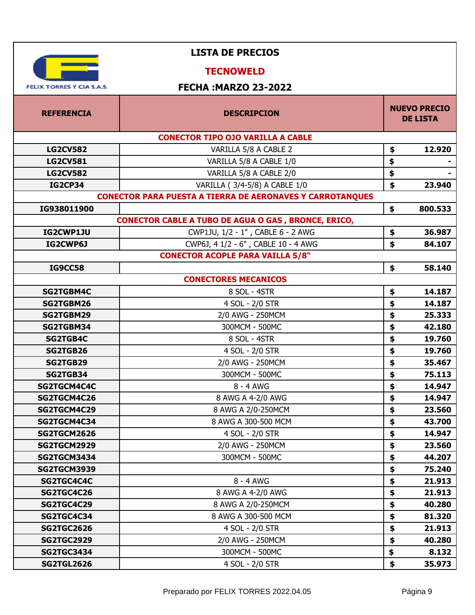| <b>LISTA DE PRECIOS</b>                |                                                                  |    |                                        |
|----------------------------------------|------------------------------------------------------------------|----|----------------------------------------|
|                                        | <b>TECNOWELD</b>                                                 |    |                                        |
| <b>FELIX TORRES Y CIA S.A.S.</b>       | <b>FECHA: MARZO 23-2022</b>                                      |    |                                        |
|                                        |                                                                  |    |                                        |
| <b>REFERENCIA</b>                      | <b>DESCRIPCION</b>                                               |    | <b>NUEVO PRECIO</b><br><b>DE LISTA</b> |
|                                        | <b>CONECTOR TIPO OJO VARILLA A CABLE</b>                         |    |                                        |
| <b>LG2CV582</b>                        | VARILLA 5/8 A CABLE 2                                            | \$ | 12.920                                 |
| <b>LG2CV581</b>                        | VARILLA 5/8 A CABLE 1/0                                          | \$ |                                        |
| <b>LG2CV582</b>                        | VARILLA 5/8 A CABLE 2/0                                          | \$ |                                        |
| <b>IG2CP34</b>                         | VARILLA (3/4-5/8) A CABLE 1/0                                    | \$ | 23.940                                 |
|                                        | <b>CONECTOR PARA PUESTA A TIERRA DE AERONAVES Y CARROTANQUES</b> |    |                                        |
| IG938011900                            |                                                                  | \$ | 800.533                                |
|                                        | <b>CONECTOR CABLE A TUBO DE AGUA O GAS, BRONCE, ERICO,</b>       |    |                                        |
| IG2CWP1JU                              | CWP1JU, 1/2 - 1", CABLE 6 - 2 AWG                                | \$ | 36.987                                 |
| IG2CWP6J                               | CWP6J, 4 1/2 - 6", CABLE 10 - 4 AWG                              | \$ | 84.107                                 |
|                                        | <b>CONECTOR ACOPLE PARA VAILLA 5/8"</b>                          |    |                                        |
| <b>IG9CC58</b>                         |                                                                  | \$ | 58.140                                 |
|                                        | <b>CONECTORES MECANICOS</b>                                      |    |                                        |
| SG2TGBM4C                              | 8 SOL - 4STR                                                     | \$ | 14.187                                 |
| SG2TGBM26                              | 4 SOL - 2/0 STR                                                  | \$ | 14.187                                 |
| SG2TGBM29                              | 2/0 AWG - 250MCM                                                 | \$ | 25.333                                 |
| SG2TGBM34                              | 300MCM - 500MC                                                   | \$ | 42.180                                 |
| <b>SG2TGB4C</b>                        | 8 SOL - 4STR                                                     | \$ | 19.760                                 |
| SG2TGB26                               | 4 SOL - 2/0 STR                                                  | \$ | 19.760                                 |
| SG2TGB29                               | 2/0 AWG - 250MCM                                                 | \$ | 35.467                                 |
| SG2TGB34                               | 300MCM - 500MC                                                   | \$ | 75.113                                 |
| SG2TGCM4C4C                            | 8 - 4 AWG                                                        | \$ | 14.947                                 |
| SG2TGCM4C26                            | 8 AWG A 4-2/0 AWG                                                | \$ | 14.947                                 |
| SG2TGCM4C29                            | 8 AWG A 2/0-250MCM                                               | \$ | 23.560                                 |
| SG2TGCM4C34                            | 8 AWG A 300-500 MCM                                              | \$ | 43.700                                 |
| <b>SG2TGCM2626</b>                     | 4 SOL - 2/0 STR                                                  | \$ | 14.947                                 |
| <b>SG2TGCM2929</b>                     | 2/0 AWG - 250MCM                                                 | \$ | 23.560                                 |
| SG2TGCM3434                            | 300MCM - 500MC                                                   | \$ | 44.207                                 |
| <b>SG2TGCM3939</b>                     |                                                                  | \$ | 75.240                                 |
| SG2TGC4C4C                             | 8 - 4 AWG                                                        | \$ | 21.913                                 |
| SG2TGC4C26                             | 8 AWG A 4-2/0 AWG                                                | \$ | 21.913                                 |
| SG2TGC4C29                             | 8 AWG A 2/0-250MCM                                               | \$ | 40.280                                 |
| SG2TGC4C34                             | 8 AWG A 300-500 MCM                                              | \$ | 81.320                                 |
| <b>SG2TGC2626</b>                      | 4 SOL - 2/0 STR                                                  | \$ | 21.913                                 |
| <b>SG2TGC2929</b><br><b>SG2TGC3434</b> | 2/0 AWG - 250MCM<br>300MCM - 500MC                               | \$ | 40.280<br>8.132                        |
| <b>SG2TGL2626</b>                      | 4 SOL - 2/0 STR                                                  | \$ |                                        |
|                                        |                                                                  | \$ | 35.973                                 |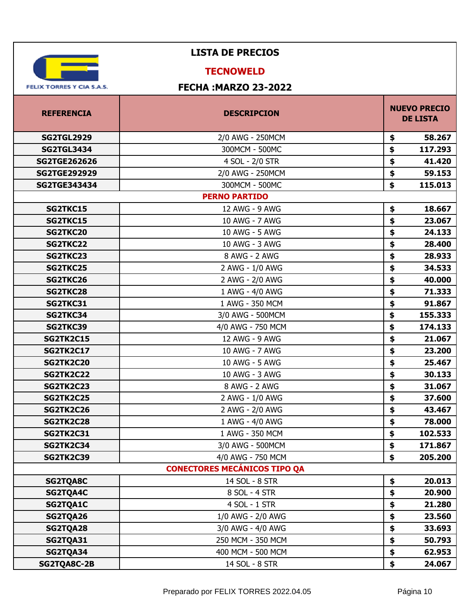

## **TECNOWELD**

| <b>REFERENCIA</b>   | <b>DESCRIPCION</b>                  | <b>NUEVO PRECIO</b><br><b>DE LISTA</b> |  |
|---------------------|-------------------------------------|----------------------------------------|--|
| <b>SG2TGL2929</b>   | 2/0 AWG - 250MCM                    | \$<br>58.267                           |  |
| <b>SG2TGL3434</b>   | 300MCM - 500MC                      | \$<br>117.293                          |  |
| <b>SG2TGE262626</b> | 4 SOL - 2/0 STR                     | \$<br>41.420                           |  |
| <b>SG2TGE292929</b> | 2/0 AWG - 250MCM                    | \$<br>59.153                           |  |
| <b>SG2TGE343434</b> | 300MCM - 500MC                      | \$<br>115.013                          |  |
|                     | <b>PERNO PARTIDO</b>                |                                        |  |
| <b>SG2TKC15</b>     | 12 AWG - 9 AWG                      | \$<br>18.667                           |  |
| <b>SG2TKC15</b>     | 10 AWG - 7 AWG                      | \$<br>23.067                           |  |
| SG2TKC20            | 10 AWG - 5 AWG                      | \$<br>24.133                           |  |
| SG2TKC22            | 10 AWG - 3 AWG                      | \$<br>28.400                           |  |
| SG2TKC23            | 8 AWG - 2 AWG                       | \$<br>28.933                           |  |
| <b>SG2TKC25</b>     | 2 AWG - 1/0 AWG                     | \$<br>34.533                           |  |
| SG2TKC26            | 2 AWG - 2/0 AWG                     | \$<br>40.000                           |  |
| <b>SG2TKC28</b>     | 1 AWG - 4/0 AWG                     | \$<br>71.333                           |  |
| SG2TKC31            | 1 AWG - 350 MCM                     | \$<br>91.867                           |  |
| SG2TKC34            | 3/0 AWG - 500MCM                    | \$<br>155.333                          |  |
| SG2TKC39            | 4/0 AWG - 750 MCM                   | \$<br>174.133                          |  |
| <b>SG2TK2C15</b>    | 12 AWG - 9 AWG                      | \$<br>21.067                           |  |
| <b>SG2TK2C17</b>    | 10 AWG - 7 AWG                      | \$<br>23.200                           |  |
| <b>SG2TK2C20</b>    | 10 AWG - 5 AWG                      | \$<br>25.467                           |  |
| <b>SG2TK2C22</b>    | 10 AWG - 3 AWG                      | \$<br>30.133                           |  |
| <b>SG2TK2C23</b>    | 8 AWG - 2 AWG                       | \$<br>31.067                           |  |
| <b>SG2TK2C25</b>    | 2 AWG - 1/0 AWG                     | \$<br>37.600                           |  |
| <b>SG2TK2C26</b>    | 2 AWG - 2/0 AWG                     | \$<br>43.467                           |  |
| <b>SG2TK2C28</b>    | 1 AWG - 4/0 AWG                     | \$<br>78.000                           |  |
| <b>SG2TK2C31</b>    | 1 AWG - 350 MCM                     | \$<br>102.533                          |  |
| <b>SG2TK2C34</b>    | 3/0 AWG - 500MCM                    | \$<br>171.867                          |  |
| <b>SG2TK2C39</b>    | 4/0 AWG - 750 MCM                   | \$<br>205.200                          |  |
|                     | <b>CONECTORES MECÁNICOS TIPO QA</b> |                                        |  |
| <b>SG2TQA8C</b>     | 14 SOL - 8 STR                      | \$<br>20.013                           |  |
| SG2TQA4C            | 8 SOL - 4 STR                       | \$<br>20.900                           |  |
| SG2TQA1C            | 4 SOL - 1 STR                       | \$<br>21.280                           |  |
| SG2TQA26            | 1/0 AWG - 2/0 AWG                   | \$<br>23.560                           |  |
| SG2TQA28            | 3/0 AWG - 4/0 AWG                   | \$<br>33.693                           |  |
| SG2TQA31            | 250 MCM - 350 MCM                   | \$<br>50.793                           |  |
| SG2TQA34            | 400 MCM - 500 MCM                   | \$<br>62.953                           |  |
| SG2TQA8C-2B         | 14 SOL - 8 STR                      | \$<br>24.067                           |  |